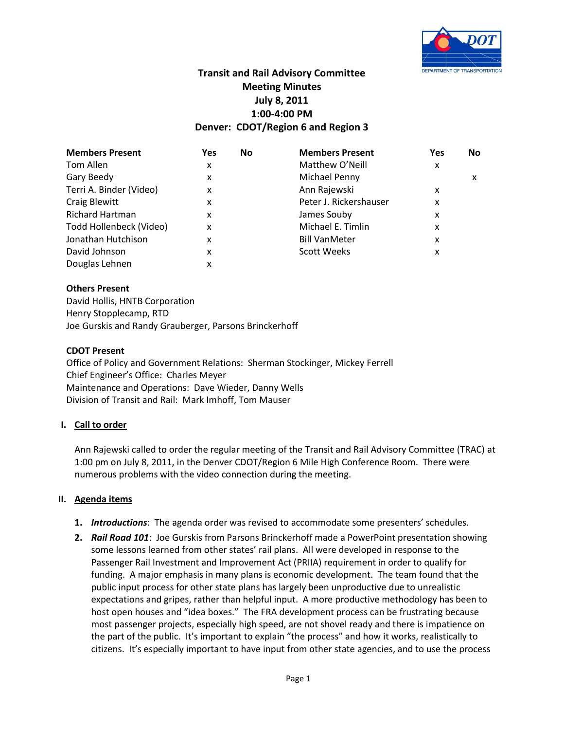

# **Transit and Rail Advisory Committee Meeting Minutes July 8, 2011 1:00-4:00 PM Denver: CDOT/Region 6 and Region 3**

| <b>Members Present</b>  | Yes | No | <b>Members Present</b> | Yes | <b>No</b> |
|-------------------------|-----|----|------------------------|-----|-----------|
| Tom Allen               | x   |    | Matthew O'Neill        | x   |           |
| Gary Beedy              | x   |    | Michael Penny          |     | x         |
| Terri A. Binder (Video) | x   |    | Ann Rajewski           | x   |           |
| <b>Craig Blewitt</b>    | x   |    | Peter J. Rickershauser | x   |           |
| <b>Richard Hartman</b>  | x   |    | James Souby            | x   |           |
| Todd Hollenbeck (Video) | X   |    | Michael E. Timlin      | x   |           |
| Jonathan Hutchison      | x   |    | <b>Bill VanMeter</b>   | x   |           |
| David Johnson           | x   |    | <b>Scott Weeks</b>     | x   |           |
| Douglas Lehnen          | x   |    |                        |     |           |

## **Others Present**

David Hollis, HNTB Corporation Henry Stopplecamp, RTD Joe Gurskis and Randy Grauberger, Parsons Brinckerhoff

### **CDOT Present**

Office of Policy and Government Relations: Sherman Stockinger, Mickey Ferrell Chief Engineer's Office: Charles Meyer Maintenance and Operations: Dave Wieder, Danny Wells Division of Transit and Rail: Mark Imhoff, Tom Mauser

### **I. Call to order**

Ann Rajewski called to order the regular meeting of the Transit and Rail Advisory Committee (TRAC) at 1:00 pm on July 8, 2011, in the Denver CDOT/Region 6 Mile High Conference Room. There were numerous problems with the video connection during the meeting.

### **II. Agenda items**

- **1.** *Introductions*: The agenda order was revised to accommodate some presenters' schedules.
- **2.** *Rail Road 101*: Joe Gurskis from Parsons Brinckerhoff made a PowerPoint presentation showing some lessons learned from other states' rail plans. All were developed in response to the Passenger Rail Investment and Improvement Act (PRIIA) requirement in order to qualify for funding. A major emphasis in many plans is economic development. The team found that the public input process for other state plans has largely been unproductive due to unrealistic expectations and gripes, rather than helpful input. A more productive methodology has been to host open houses and "idea boxes." The FRA development process can be frustrating because most passenger projects, especially high speed, are not shovel ready and there is impatience on the part of the public. It's important to explain "the process" and how it works, realistically to citizens. It's especially important to have input from other state agencies, and to use the process